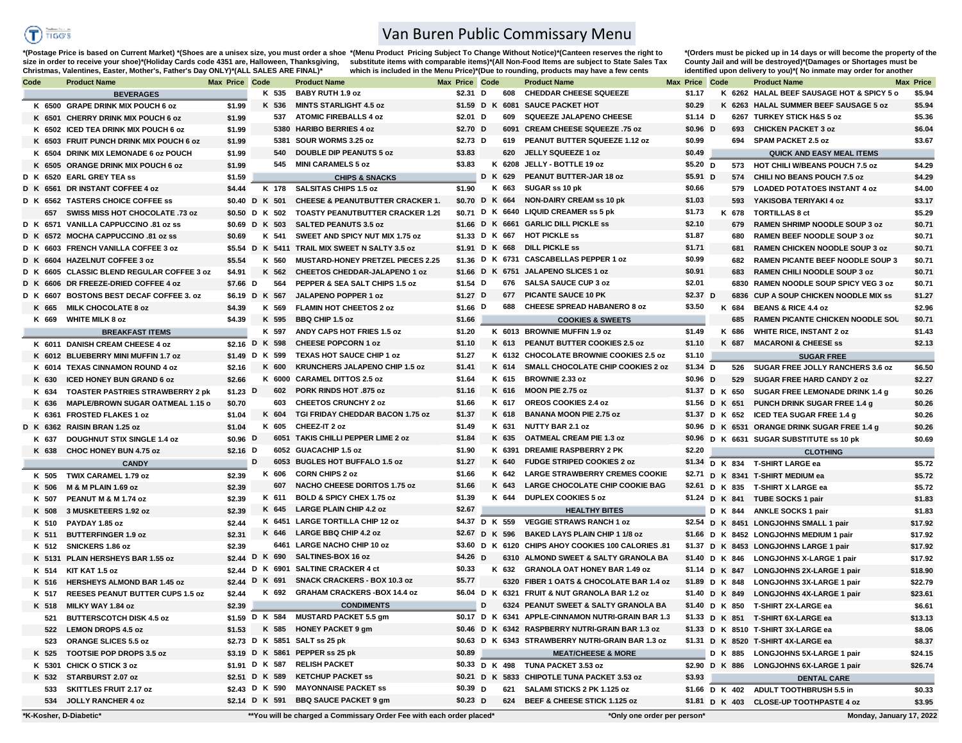

## Van Buren Public Commissary Menu

\*(Postage Price is based on Current Market) \*(Shoes are a unisex size, you must order a shoe \*(Menu Product Pricing Subject To Change Without Notice)\*(Canteen reserves the right to size in order to receive your shoe)\*(Holiday Cards code 4351 are, Halloween, Thanksgiving, substitute items with comparable items)\*(All Non-Food Items are subject to State Sales Tax **which is included in the Menu Price)\*(Due to rounding, products may have a few cents Christmas, Valentines, Easter, Mother's, Father's Day ONLY)\*(ALL SALES ARE FINAL)\***

**\*(Orders must be picked up in 14 days or will become the property of the County Jail and will be destroyed)\*(Damages or Shortages must be identified upon delivery to you)\*( No inmate may order for another** 

| Code |       | <b>Product Name</b>                        | <b>Max Price Code</b> |                | <b>Product Name</b>                                                  | <b>Max Price Code</b> |   |         | <b>Product Name</b>                                    | <b>Max Price Code</b> |       | <b>Product Name</b>                           | Max Price |
|------|-------|--------------------------------------------|-----------------------|----------------|----------------------------------------------------------------------|-----------------------|---|---------|--------------------------------------------------------|-----------------------|-------|-----------------------------------------------|-----------|
|      |       | <b>BEVERAGES</b>                           |                       | K 535          | <b>BABY RUTH 1.9 oz</b>                                              | \$2.31 D              |   | 608     | <b>CHEDDAR CHEESE SQUEEZE</b>                          | \$1.17                |       | K 6262 HALAL BEEF SAUSAGE HOT & SPICY 5 o     | \$5.94    |
|      |       | K 6500 GRAPE DRINK MIX POUCH 6 oz          | \$1.99                | K 536          | <b>MINTS STARLIGHT 4.5 oz</b>                                        |                       |   |         | \$1.59 D K 6081 SAUCE PACKET HOT                       | \$0.29                |       | K 6263 HALAL SUMMER BEEF SAUSAGE 5 oz         | \$5.94    |
|      |       | K 6501 CHERRY DRINK MIX POUCH 6 oz         | \$1.99                | 537            | <b>ATOMIC FIREBALLS 4 oz</b>                                         | \$2.01 D              |   | 609     | <b>SQUEEZE JALAPENO CHEESE</b>                         | $$1.14$ D             |       | 6267 TURKEY STICK H&S 5 oz                    | \$5.36    |
|      |       | K 6502 ICED TEA DRINK MIX POUCH 6 oz       | \$1.99                |                | 5380 HARIBO BERRIES 4 oz                                             | \$2.70 D              |   | 6091    | CREAM CHEESE SQUEEZE .75 oz                            | $$0.96$ D             | 693   | <b>CHICKEN PACKET 3 oz</b>                    | \$6.04    |
|      |       | K 6503 FRUIT PUNCH DRINK MIX POUCH 6 oz    | \$1.99                | 5381           | SOUR WORMS 3.25 oz                                                   | \$2.73 $D$            |   | 619     | PEANUT BUTTER SQUEEZE 1.12 oz                          | \$0.99                | 694   | <b>SPAM PACKET 2.5 oz</b>                     | \$3.67    |
|      |       | K 6504 DRINK MIX LEMONADE 6 oz POUCH       | \$1.99                | 540            | <b>DOUBLE DIP PEANUTS 5 oz</b>                                       | \$3.83                |   | 620     | JELLY SQUEEZE 1 oz                                     | \$0.49                |       | <b>QUICK AND EASY MEAL ITEMS</b>              |           |
|      |       | K 6505 ORANGE DRINK MIX POUCH 6 oz         | \$1.99                | 545            | <b>MINI CARAMELS 5 oz</b>                                            | \$3.83                |   |         | K 6208 JELLY - BOTTLE 19 oz                            | $$5.20$ D             |       | 573 HOT CHILI W/BEANS POUCH 7.5 oz            | \$4.29    |
|      |       | D K 6520 EARL GREY TEA ss                  | \$1.59                |                | <b>CHIPS &amp; SNACKS</b>                                            |                       |   | D K 629 | PEANUT BUTTER-JAR 18 oz                                | $$5.91$ D             | 574   | CHILI NO BEANS POUCH 7.5 oz                   | \$4.29    |
|      |       | D K 6561 DR INSTANT COFFEE 4 oz            | \$4.44                | K 178          | <b>SALSITAS CHIPS 1.5 oz</b>                                         | \$1.90                |   | K 663   | SUGAR ss 10 pk                                         | \$0.66                | 579   | <b>LOADED POTATOES INSTANT 4 oz</b>           | \$4.00    |
|      |       | D K 6562 TASTERS CHOICE COFFEE SS          |                       | \$0.40 D K 501 | <b>CHEESE &amp; PEANUTBUTTER CRACKER 1.</b>                          | \$0.70 D K 664        |   |         | <b>NON-DAIRY CREAM ss 10 pk</b>                        | \$1.03                | 593   | YAKISOBA TERIYAKI 4 oz                        | \$3.17    |
|      |       | 657 SWISS MISS HOT CHOCOLATE .73 oz        |                       | \$0.50 D K 502 | <b>TOASTY PEANUTBUTTER CRACKER 1.29</b>                              |                       |   |         | \$0.71 D K 6640 LIQUID CREAMER ss 5 pk                 | \$1.73                | K 678 | <b>TORTILLAS 8 ct</b>                         | \$5.29    |
|      |       | D K 6571 VANILLA CAPPUCCINO .81 oz ss      |                       | \$0.69 D K 503 | <b>SALTED PEANUTS 3.5 oz</b>                                         |                       |   |         | \$1.66 D K 6661 GARLIC DILL PICKLE ss                  | \$2.10                | 679   | <b>RAMEN SHRIMP NOODLE SOUP 3 oz</b>          | \$0.71    |
|      |       | D K 6572 MOCHA CAPPUCCINO .81 oz ss        | \$0.69                | K 541          | SWEET AND SPICY NUT MIX 1.75 oz                                      |                       |   |         | \$1.33 D K 667 HOT PICKLE ss                           | \$1.87                | 680   | <b>RAMEN BEEF NOODLE SOUP 3 oz</b>            | \$0.71    |
|      |       | D K 6603 FRENCH VANILLA COFFEE 3 oz        |                       |                | \$5.54 D K 5411 TRAIL MIX SWEET N SALTY 3.5 oz                       |                       |   |         | \$1.91 D K 668 DILL PICKLE ss                          | \$1.71                | 681   | <b>RAMEN CHICKEN NOODLE SOUP 3 oz</b>         | \$0.71    |
|      |       | D K 6604 HAZELNUT COFFEE 3 oz              | \$5.54                | K 560          | <b>MUSTARD-HONEY PRETZEL PIECES 2.25</b>                             |                       |   |         | \$1.36 D K 6731 CASCABELLAS PEPPER 1 oz                | \$0.99                | 682   | <b>RAMEN PICANTE BEEF NOODLE SOUP 3</b>       | \$0.71    |
|      |       | D K 6605 CLASSIC BLEND REGULAR COFFEE 3 oz | \$4.91                | K 562          | <b>CHEETOS CHEDDAR-JALAPENO 1 oz</b>                                 |                       |   |         | \$1.66 D K 6751 JALAPENO SLICES 1 oz                   | \$0.91                | 683   | <b>RAMEN CHILI NOODLE SOUP 3 oz</b>           | \$0.71    |
|      |       | D K 6606 DR FREEZE-DRIED COFFEE 4 oz       | \$7.66 D              | 564            | PEPPER & SEA SALT CHIPS 1.5 oz                                       | \$1.54 $\overline{D}$ |   |         | 676 SALSA SAUCE CUP 3 oz                               | \$2.01                |       | 6830 RAMEN NOODLE SOUP SPICY VEG 3 oz         | \$0.71    |
|      |       | D K 6607 BOSTONS BEST DECAF COFFEE 3, oz   |                       | \$6.19 D K 567 | <b>JALAPENO POPPER 1 oz</b>                                          | \$1.27 $D$            |   | 677     | <b>PICANTE SAUCE 10 PK</b>                             | \$2.37 <sub>D</sub>   |       | 6836 CUP A SOUP CHICKEN NOODLE MIX SS         | \$1.27    |
|      | K 665 | <b>MILK CHOCOLATE 8 oz</b>                 | \$4.39                | K 569          | FLAMIN HOT CHEETOS 2 oz                                              | \$1.66 $D$            |   | 688     | <b>CHEESE SPREAD HABANERO 8 oz</b>                     | \$3.50                | K 684 | <b>BEANS &amp; RICE 4.4 oz</b>                | \$2.96    |
|      |       | K 669 WHITE MILK 8 oz                      | \$4.39                | K 595          | <b>BBQ CHIP 1.5 oz</b>                                               | \$1.66                |   |         | <b>COOKIES &amp; SWEETS</b>                            |                       | 685   | <b>RAMEN PICANTE CHICKEN NOODLE SOL</b>       | \$0.71    |
|      |       | <b>BREAKFAST ITEMS</b>                     |                       | K 597          | ANDY CAPS HOT FRIES 1.5 oz                                           | \$1.20                |   |         | K 6013 BROWNIE MUFFIN 1.9 oz                           | \$1.49                | K 686 | <b>WHITE RICE, INSTANT 2 oz</b>               | \$1.43    |
|      |       | K 6011 DANISH CREAM CHEESE 4 oz            |                       | \$2.16 D K 598 | <b>CHEESE POPCORN 1 oz</b>                                           | \$1.10                |   | K 613   | PEANUT BUTTER COOKIES 2.5 oz                           | \$1.10                | K 687 | <b>MACARONI &amp; CHEESE ss</b>               | \$2.13    |
|      |       | K 6012 BLUEBERRY MINI MUFFIN 1.7 oz        |                       | \$1.49 D K 599 | TEXAS HOT SAUCE CHIP 1 oz                                            | \$1.27                |   | K 6132  | <b>CHOCOLATE BROWNIE COOKIES 2.5 oz</b>                | \$1.10                |       | <b>SUGAR FREE</b>                             |           |
|      |       | K 6014 TEXAS CINNAMON ROUND 4 oz           | \$2.16                | K 600          | <b>KRUNCHERS JALAPENO CHIP 1.5 oz</b>                                | \$1.41                |   | K 614   | SMALL CHOCOLATE CHIP COOKIES 2 oz                      | $$1.34$ D             | 526   | SUGAR FREE JOLLY RANCHERS 3.6 oz              | \$6.50    |
|      |       | <b>ICED HONEY BUN GRAND 6 oz</b>           |                       |                | K 6000 CARAMEL DITTOS 2.5 oz                                         | \$1.64                |   | K 615   | <b>BROWNIE 2.33 oz</b>                                 | \$0.96 D              |       |                                               |           |
|      | K 630 |                                            | \$2.66                | 602            | <b>PORK RINDS HOT .875 oz</b>                                        | \$1.16                |   | K 616   | MOON PIE 2.75 oz                                       |                       | 529   | <b>SUGAR FREE HARD CANDY 2 oz</b>             | \$2.27    |
|      | K 634 | <b>TOASTER PASTRIES STRAWBERRY 2 pk</b>    | \$1.23 $D$            |                |                                                                      |                       |   |         |                                                        | \$1.37 D K 650        |       | SUGAR FREE LEMONADE DRINK 1.4 g               | \$0.26    |
|      | K 636 | <b>MAPLE/BROWN SUGAR OATMEAL 1.15 o</b>    | \$0.70                | 603            | <b>CHEETOS CRUNCHY 2 oz</b><br>TGI FRIDAY CHEDDAR BACON 1.75 oz      | \$1.66                |   | K 617   | OREOS COOKIES 2.4 oz<br><b>BANANA MOON PIE 2.75 oz</b> | \$1.56 D K 651        |       | PUNCH DRINK SUGAR FREE 1.4 g                  | \$0.26    |
|      |       | K 6361 FROSTED FLAKES 1 oz                 | \$1.04                | K 604          |                                                                      | \$1.37                |   | K 618   | <b>NUTTY BAR 2.1 oz</b>                                |                       |       | \$1.37 D K 652 ICED TEA SUGAR FREE 1.4 g      | \$0.26    |
|      |       | D K 6362 RAISIN BRAN 1.25 oz               | \$1.04                | K 605          | CHEEZ-IT 2 oz                                                        | \$1.49                |   | K 631   |                                                        |                       |       | \$0.96 D K 6531 ORANGE DRINK SUGAR FREE 1.4 g | \$0.26    |
|      | K 637 | <b>DOUGHNUT STIX SINGLE 1.4 oz</b>         | \$0.96 D              |                | 6051 TAKIS CHILLI PEPPER LIME 2 oz                                   | \$1.84                |   | K 635   | <b>OATMEAL CREAM PIE 1.3 oz</b>                        |                       |       | \$0.96 D K 6631 SUGAR SUBSTITUTE ss 10 pk     | \$0.69    |
|      |       | K 638 CHOC HONEY BUN 4.75 oz               | \$2.16 $D$            |                | 6052 GUACACHIP 1.5 oz                                                | \$1.90                |   | K 6391  | <b>DREAMIE RASPBERRY 2 PK</b>                          | \$2.20                |       | <b>CLOTHING</b>                               |           |
|      |       | <b>CANDY</b>                               |                       | D              | 6053 BUGLES HOT BUFFALO 1.5 oz                                       | \$1.27                |   | K 640   | <b>FUDGE STRIPED COOKIES 2 oz</b>                      | \$1.34                |       | D K 834 T-SHIRT LARGE ea                      | \$5.72    |
|      | K 505 | TWIX CARAMEL 1.79 oz                       | \$2.39                | K 606          | <b>CORN CHIPS 2 oz</b>                                               | \$1.66                |   | K 642   | <b>LARGE STRAWBERRY CREMES COOKIE</b>                  |                       |       | \$2.71 D K 8341 T-SHIRT MEDIUM ea             | \$5.72    |
|      | K 506 | M & M PLAIN 1.69 oz                        | \$2.39                | 607            | <b>NACHO CHEESE DORITOS 1.75 oz</b>                                  | \$1.66                |   | K 643   | LARGE CHOCOLATE CHIP COOKIE BAG                        | \$2.61                |       | D K 835 T-SHIRT X LARGE ea                    | \$5.72    |
|      | K 507 | PEANUT M & M 1.74 oz                       | \$2.39                | K 611          | BOLD & SPICY CHEX 1.75 oz                                            | \$1.39                |   | K 644   | <b>DUPLEX COOKIES 5 oz</b>                             |                       |       | \$1.24 D K 841 TUBE SOCKS 1 pair              | \$1.83    |
|      | K 508 | 3 MUSKETEERS 1.92 oz                       | \$2.39                | K 645          | <b>LARGE PLAIN CHIP 4.2 oz</b>                                       | \$2.67                |   |         | <b>HEALTHY BITES</b>                                   |                       |       | D K 844 ANKLE SOCKS 1 pair                    | \$1.83    |
|      | K 510 | PAYDAY 1.85 oz                             | \$2.44                |                | K 6451 LARGE TORTILLA CHIP 12 oz                                     | \$4.37 D K 559        |   |         | <b>VEGGIE STRAWS RANCH 1 oz</b>                        |                       |       | \$2.54 D K 8451 LONGJOHNS SMALL 1 pair        | \$17.92   |
|      | K 511 | <b>BUTTERFINGER 1.9 oz</b>                 | \$2.31                | K 646          | <b>LARGE BBQ CHIP 4.2 oz</b>                                         | \$2.67 D K 596        |   |         | <b>BAKED LAYS PLAIN CHIP 1 1/8 oz</b>                  |                       |       | \$1.66 D K 8452 LONGJOHNS MEDIUM 1 pair       | \$17.92   |
|      | K 512 | SNICKERS 1.86 oz                           | \$2.39                | 6461           | <b>LARGE NACHO CHIP 10 oz</b>                                        |                       |   |         | \$3.60 D K 6120 CHIPS AHOY COOKIES 100 CALORIES .81    |                       |       | \$1.37 D K 8453 LONGJOHNS LARGE 1 pair        | \$17.92   |
|      |       | K 5131 PLAIN HERSHEYS BAR 1.55 oz          | \$2.44                | D K 690        | SALTINES-BOX 16 oz                                                   | $$4.26$ D             |   |         | 6310 ALMOND SWEET & SALTY GRANOLA BA                   |                       |       | \$1.40 D K 846 LONGJOHNS X-LARGE 1 pair       | \$17.92   |
|      |       | K 514 KIT KAT 1.5 oz                       | \$2.44                |                | D K 6901 SALTINE CRACKER 4 ct                                        | \$0.33                |   | K 632   | <b>GRANOLA OAT HONEY BAR 1.49 oz</b>                   |                       |       | \$1.14 D K 847 LONGJOHNS 2X-LARGE 1 pair      | \$18.90   |
|      | K 516 | <b>HERSHEYS ALMOND BAR 1.45 oz</b>         | \$2.44                | D K 691        | <b>SNACK CRACKERS - BOX 10.3 oz</b>                                  | \$5.77                |   |         | 6320 FIBER 1 OATS & CHOCOLATE BAR 1.4 oz               |                       |       | \$1.89 D K 848 LONGJOHNS 3X-LARGE 1 pair      | \$22.79   |
|      | K 517 | <b>REESES PEANUT BUTTER CUPS 1.5 oz</b>    | \$2.44                |                | K 692 GRAHAM CRACKERS-BOX 14.4 oz                                    |                       |   |         | \$6.04 D K 6321 FRUIT & NUT GRANOLA BAR 1.2 oz         |                       |       | \$1.40 D K 849 LONGJOHNS 4X-LARGE 1 pair      | \$23.61   |
|      |       | K 518 MILKY WAY 1.84 oz                    | \$2.39                |                | <b>CONDIMENTS</b>                                                    |                       | D |         | 6324 PEANUT SWEET & SALTY GRANOLA BA                   |                       |       | \$1.40 D K 850 T-SHIRT 2X-LARGE ea            | \$6.61    |
|      |       | 521 BUTTERSCOTCH DISK 4.5 oz               |                       |                | \$1.59 D K 584 MUSTARD PACKET 5.5 gm                                 |                       |   |         | \$0.17 D K 6341 APPLE-CINNAMON NUTRI-GRAIN BAR 1.3     |                       |       | \$1.33 D K 851 T-SHIRT 6X-LARGE ea            | \$13.13   |
|      |       | 522 LEMON DROPS 4.5 oz                     | \$1.53                |                | K 585 HONEY PACKET 9 gm                                              |                       |   |         | \$0.46 D K 6342 RASPBERRY NUTRI-GRAIN BAR 1.3 oz       |                       |       | \$1.33 D K 8510 T-SHIRT 3X-LARGE ea           | \$8.06    |
|      |       | 523 ORANGE SLICES 5.5 oz                   |                       |                | \$2.73 D K 5851 SALT ss 25 pk                                        |                       |   |         | \$0.63 D K 6343 STRAWBERRY NUTRI-GRAIN BAR 1.3 oz      |                       |       | \$1.31 D K 8520 T-SHIRT 4X-LARGE ea           | \$8.37    |
|      |       | K 525 TOOTSIE POP DROPS 3.5 oz             |                       |                | \$3.19 D K 5861 PEPPER ss 25 pk                                      | \$0.89                |   |         | <b>MEAT/CHEESE &amp; MORE</b>                          |                       |       | D K 885 LONGJOHNS 5X-LARGE 1 pair             | \$24.15   |
|      |       | K 5301 CHICK O STICK 3 oz                  |                       |                | \$1.91 D K 587 RELISH PACKET                                         |                       |   |         | \$0.33 D K 498 TUNA PACKET 3.53 oz                     |                       |       | \$2.90 D K 886 LONGJOHNS 6X-LARGE 1 pair      | \$26.74   |
|      |       | K 532 STARBURST 2.07 oz                    |                       |                | \$2.51 D K 589 KETCHUP PACKET ss                                     |                       |   |         | \$0.21 D K 5833 CHIPOTLE TUNA PACKET 3.53 oz           | \$3.93                |       | <b>DENTAL CARE</b>                            |           |
|      |       | 533 SKITTLES FRUIT 2.17 oz                 |                       | \$2.43 D K 590 | <b>MAYONNAISE PACKET ss</b>                                          | \$0.39 D              |   | 621     | SALAMI STICKS 2 PK 1.125 oz                            |                       |       | \$1.66 D K 402 ADULT TOOTHBRUSH 5.5 in        | \$0.33    |
|      |       | 534 JOLLY RANCHER 4 oz                     |                       |                | \$2.14 D K 591 BBQ SAUCE PACKET 9 gm                                 | \$0.23 D              |   |         | 624 BEEF & CHEESE STICK 1.125 oz                       |                       |       | \$1.81 D K 403 CLOSE-UP TOOTHPASTE 4 oz       | \$3.95    |
|      |       |                                            |                       |                |                                                                      |                       |   |         |                                                        |                       |       |                                               |           |
|      |       | *K-Kosher, D-Diabetic*                     |                       |                | **You will be charged a Commissary Order Fee with each order placed* |                       |   |         | *Only one order per person*                            |                       |       | Monday, January 17, 2022                      |           |